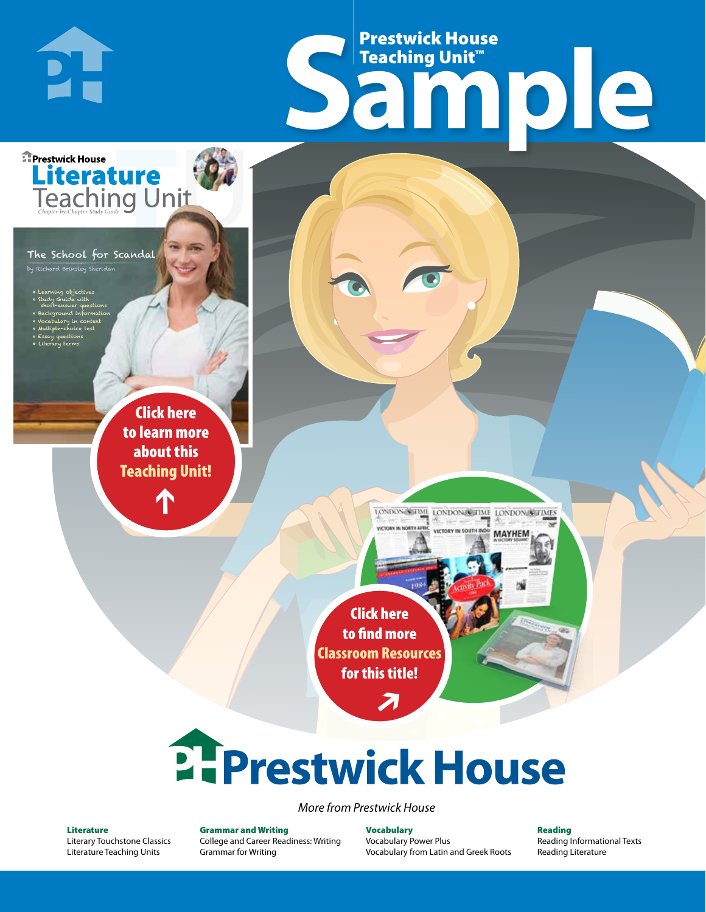## Frestwick House<br>
Sample **Prestwick House**<br>Teaching Unit<sup>\*\*</sup> Teaching Unit™

LONDON-SCITME LONDON/SCITME LONDON/SCITMES

**MAYHEM** 

The School for Scandal by Richard Brinsley Sheridan

**Literature** 

**A Tale of Two Cities**

• Learning objectives • Study Guide with short-answer questions • Background information • Vocabulary in context • Multiple-choice test

**DI-**

**E** Prestwick House

CHARLES DICKENS

• Essay questions • Literary terms

> r e o r d e r n o . x x x x x x Click here to learn more about this [Teaching Unit!](https://www.prestwickhouse.com/pdf/id-202197/School_for_Scandal_The_-_Downloadable_Teaching_Unit)

> > $\mathbf{T}$

1

Click here to find more [Classroom Resources](http://teaching-english.prestwickhouse.com/search#w=school%20for%20scandal)  for this title!

 $\overline{\boldsymbol{\lambda}}$ 

# **2. Prestwick House**

*More from Prestwick House*

#### Literature

[Literary Touchstone Classics](https://www.prestwickhouse.com/literary-touchstone-classics) [Literature Teaching Units](https://www.prestwickhouse.com/teaching-units)

Grammar and Writing [College and Career Readiness: Writing](https://www.prestwickhouse.com/college-and-career-readiness-writing) [Grammar for Writing](https://www.prestwickhouse.com/book/id-302639/Grammar_for_Writing_-_30_Books_and_Teachers_Edition)

Vocabulary [Vocabulary Power Plus](https://www.prestwickhouse.com/vocabulary-power-plus-for-college-and-career-readiness) [Vocabulary from Latin and Greek Roots](https://www.prestwickhouse.com/vocabulary-from-latin-and-greek-roots) Reading

[Reading Informational Texts](https://www.prestwickhouse.com/reading-informational-texts) [Reading Literature](https://www.prestwickhouse.com/reading-literature)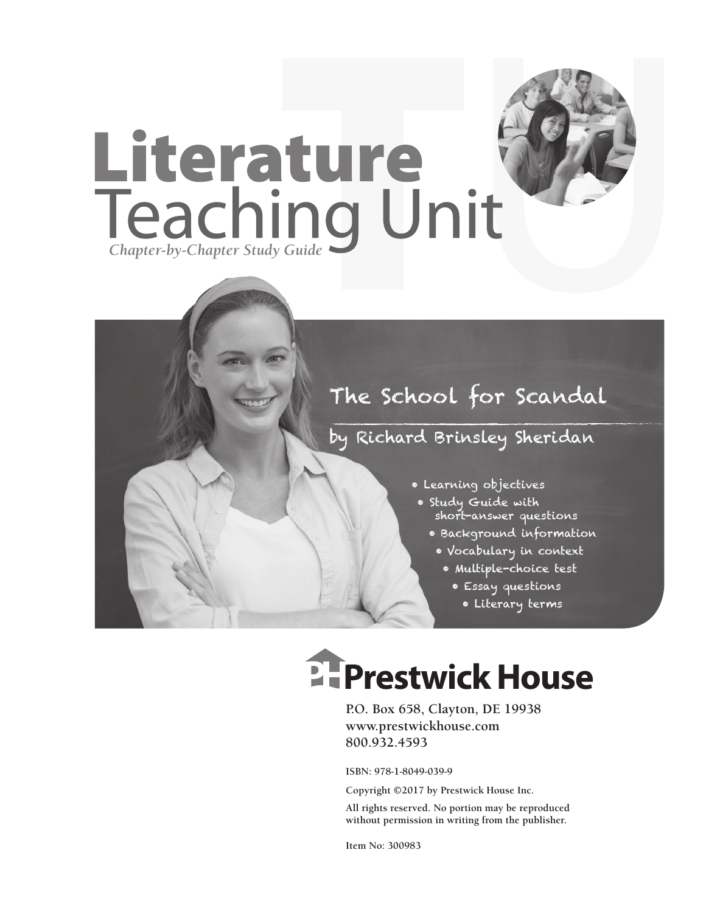

## by Richard Brinsley Sheridan

- Learning objectives
- Study Guide with short-answer questions
	- Background information
		- Vocabulary in context
			- Multiple-choice test
				- Essay questions
				- Literary terms

## **EFPrestwick House**

**P.O. Box 658, Clayton, DE 19938 www.prestwickhouse.com 800.932.4593**

**ISBN: 978-1-8049-039-9**

**Copyright ©2017 by Prestwick House Inc.**

**All rights reserved. No portion may be reproduced without permission in writing from the publisher.** 

**Item No: 300983**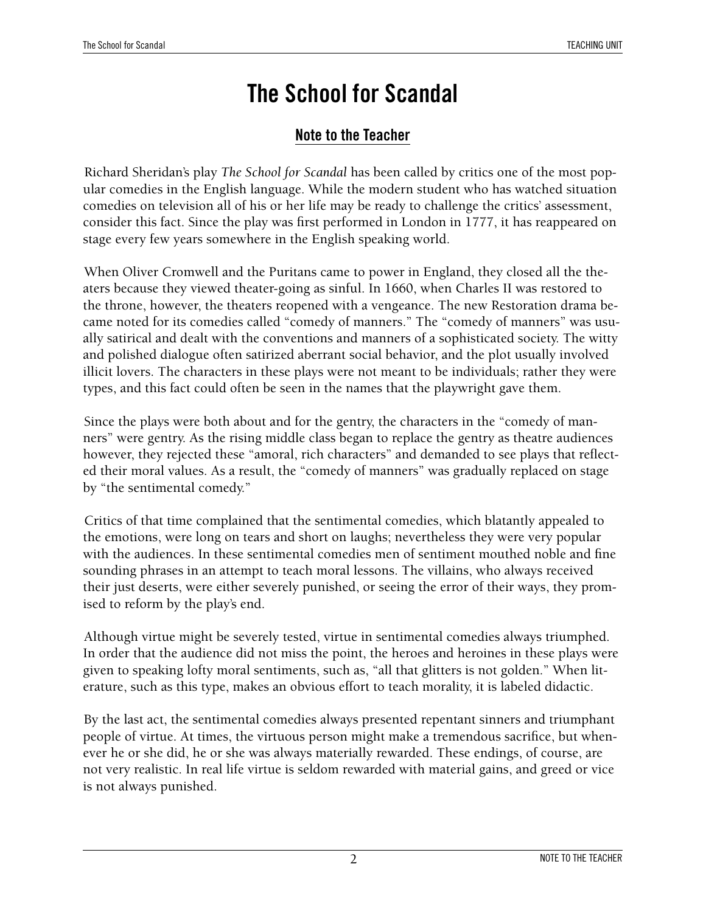## **Note to the Teacher**

Richard Sheridan's play *The School for Scandal* has been called by critics one of the most popular comedies in the English language. While the modern student who has watched situation comedies on television all of his or her life may be ready to challenge the critics' assessment, consider this fact. Since the play was first performed in London in 1777, it has reappeared on stage every few years somewhere in the English speaking world.

When Oliver Cromwell and the Puritans came to power in England, they closed all the theaters because they viewed theater-going as sinful. In 1660, when Charles II was restored to the throne, however, the theaters reopened with a vengeance. The new Restoration drama became noted for its comedies called "comedy of manners." The "comedy of manners" was usually satirical and dealt with the conventions and manners of a sophisticated society. The witty and polished dialogue often satirized aberrant social behavior, and the plot usually involved illicit lovers. The characters in these plays were not meant to be individuals; rather they were types, and this fact could often be seen in the names that the playwright gave them.

Since the plays were both about and for the gentry, the characters in the "comedy of manners" were gentry. As the rising middle class began to replace the gentry as theatre audiences however, they rejected these "amoral, rich characters" and demanded to see plays that reflected their moral values. As a result, the "comedy of manners" was gradually replaced on stage by "the sentimental comedy."

Critics of that time complained that the sentimental comedies, which blatantly appealed to the emotions, were long on tears and short on laughs; nevertheless they were very popular with the audiences. In these sentimental comedies men of sentiment mouthed noble and fine sounding phrases in an attempt to teach moral lessons. The villains, who always received their just deserts, were either severely punished, or seeing the error of their ways, they promised to reform by the play's end.

Although virtue might be severely tested, virtue in sentimental comedies always triumphed. In order that the audience did not miss the point, the heroes and heroines in these plays were given to speaking lofty moral sentiments, such as, "all that glitters is not golden." When literature, such as this type, makes an obvious effort to teach morality, it is labeled didactic.

By the last act, the sentimental comedies always presented repentant sinners and triumphant people of virtue. At times, the virtuous person might make a tremendous sacrifice, but whenever he or she did, he or she was always materially rewarded. These endings, of course, are not very realistic. In real life virtue is seldom rewarded with material gains, and greed or vice is not always punished.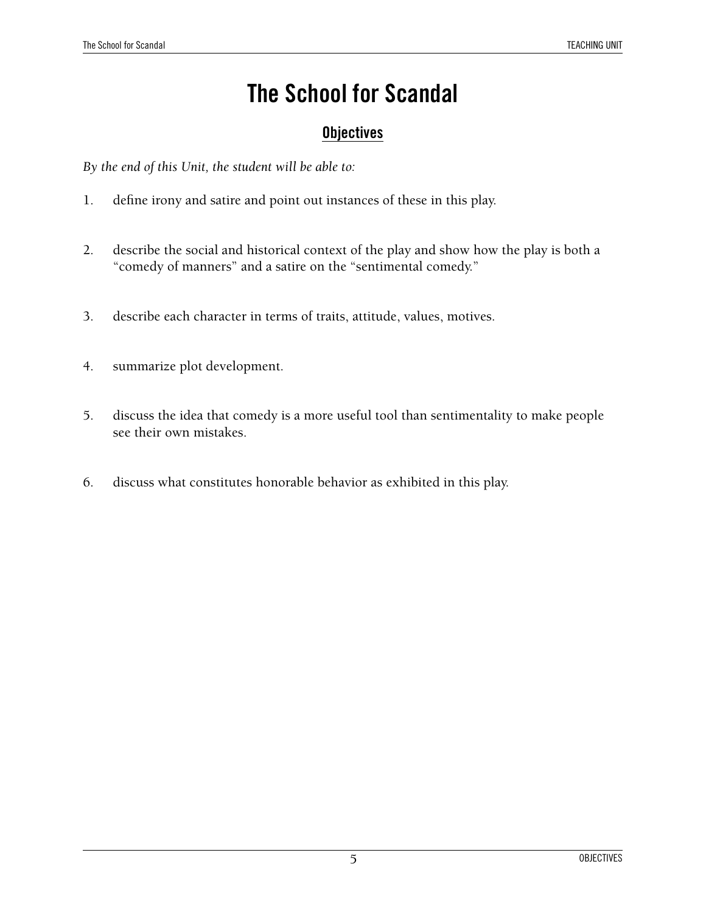## **Objectives**

*By the end of this Unit, the student will be able to:*

- 1. define irony and satire and point out instances of these in this play.
- 2. describe the social and historical context of the play and show how the play is both a "comedy of manners" and a satire on the "sentimental comedy."
- 3. describe each character in terms of traits, attitude, values, motives.
- 4. summarize plot development.
- 5. discuss the idea that comedy is a more useful tool than sentimentality to make people see their own mistakes.
- 6. discuss what constitutes honorable behavior as exhibited in this play.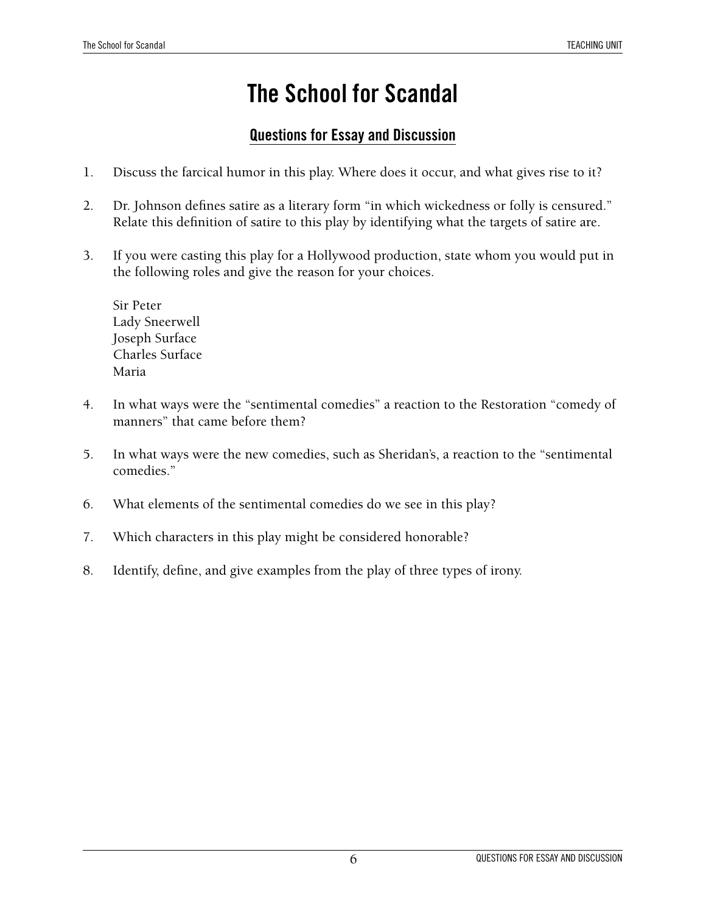## **Questions for Essay and Discussion**

- 1. Discuss the farcical humor in this play. Where does it occur, and what gives rise to it?
- 2. Dr. Johnson defines satire as a literary form "in which wickedness or folly is censured." Relate this definition of satire to this play by identifying what the targets of satire are.
- 3. If you were casting this play for a Hollywood production, state whom you would put in the following roles and give the reason for your choices.

Sir Peter Lady Sneerwell Joseph Surface Charles Surface Maria

- 4. In what ways were the "sentimental comedies" a reaction to the Restoration "comedy of manners" that came before them?
- 5. In what ways were the new comedies, such as Sheridan's, a reaction to the "sentimental comedies."
- 6. What elements of the sentimental comedies do we see in this play?
- 7. Which characters in this play might be considered honorable?
- 8. Identify, define, and give examples from the play of three types of irony.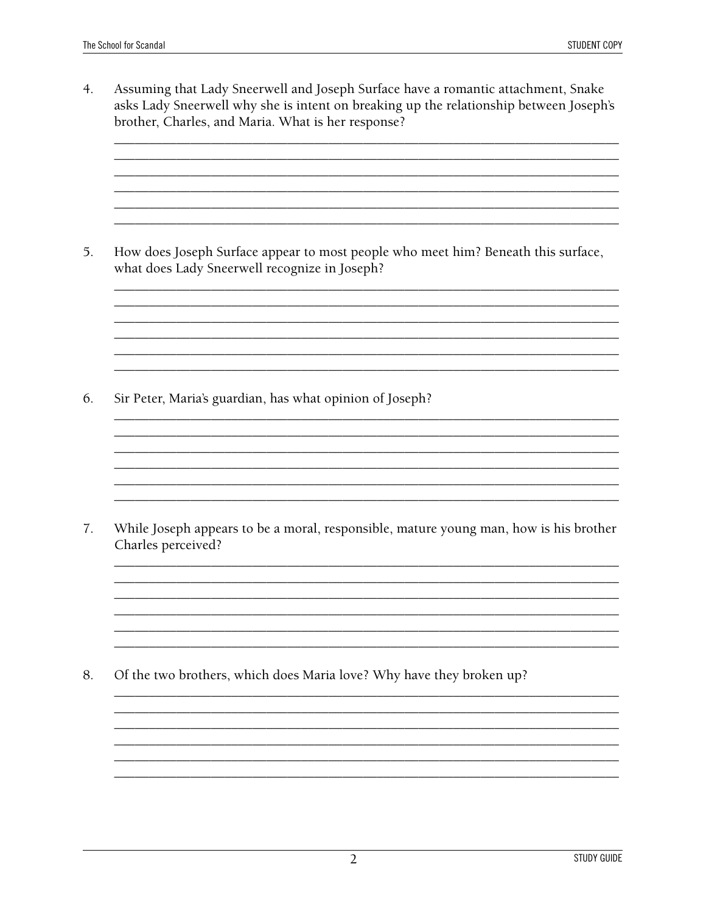$4.$ Assuming that Lady Sneerwell and Joseph Surface have a romantic attachment, Snake asks Lady Sneerwell why she is intent on breaking up the relationship between Joseph's brother, Charles, and Maria. What is her response?

How does Joseph Surface appear to most people who meet him? Beneath this surface, 5. what does Lady Sneerwell recognize in Joseph?

6. Sir Peter, Maria's guardian, has what opinion of Joseph?

While Joseph appears to be a moral, responsible, mature young man, how is his brother  $7.$ Charles perceived?

8. Of the two brothers, which does Maria love? Why have they broken up?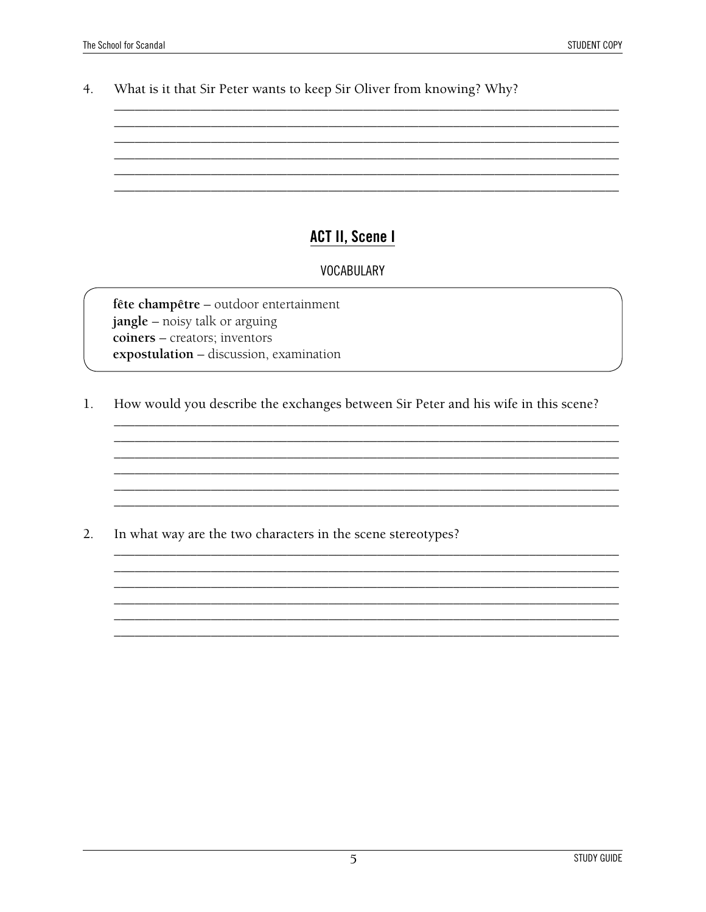What is it that Sir Peter wants to keep Sir Oliver from knowing? Why?  $4.$ 

#### **ACT II, Scene I**

#### **VOCABULARY**

fête champêtre - outdoor entertainment jangle - noisy talk or arguing coiners - creators; inventors expostulation - discussion, examination

How would you describe the exchanges between Sir Peter and his wife in this scene? 1.

 $2.$ In what way are the two characters in the scene stereotypes?